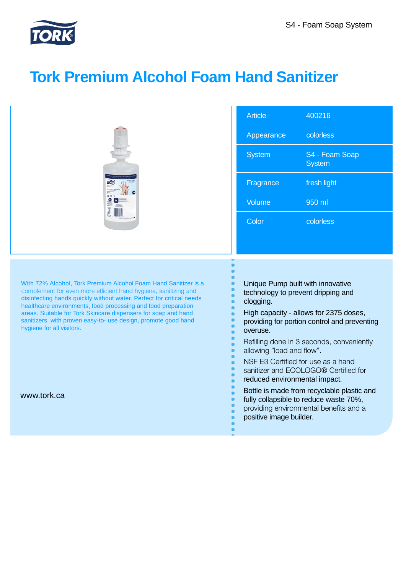

## **Tork Premium Alcohol Foam Hand Sanitizer**

|                                                                                                                                                                                                                                                                                                                                                                                                                                                        | <b>Article</b>                                                                                                                                                                                                                                                       | 400216                                                                                                                                                                                                       |
|--------------------------------------------------------------------------------------------------------------------------------------------------------------------------------------------------------------------------------------------------------------------------------------------------------------------------------------------------------------------------------------------------------------------------------------------------------|----------------------------------------------------------------------------------------------------------------------------------------------------------------------------------------------------------------------------------------------------------------------|--------------------------------------------------------------------------------------------------------------------------------------------------------------------------------------------------------------|
|                                                                                                                                                                                                                                                                                                                                                                                                                                                        | Appearance                                                                                                                                                                                                                                                           | colorless                                                                                                                                                                                                    |
|                                                                                                                                                                                                                                                                                                                                                                                                                                                        | <b>System</b>                                                                                                                                                                                                                                                        | S4 - Foam Soap<br><b>System</b>                                                                                                                                                                              |
|                                                                                                                                                                                                                                                                                                                                                                                                                                                        | Fragrance                                                                                                                                                                                                                                                            | fresh light                                                                                                                                                                                                  |
|                                                                                                                                                                                                                                                                                                                                                                                                                                                        | Volume                                                                                                                                                                                                                                                               | 950 ml                                                                                                                                                                                                       |
|                                                                                                                                                                                                                                                                                                                                                                                                                                                        | Color                                                                                                                                                                                                                                                                | colorless                                                                                                                                                                                                    |
|                                                                                                                                                                                                                                                                                                                                                                                                                                                        |                                                                                                                                                                                                                                                                      |                                                                                                                                                                                                              |
|                                                                                                                                                                                                                                                                                                                                                                                                                                                        |                                                                                                                                                                                                                                                                      |                                                                                                                                                                                                              |
| With 72% Alcohol, Tork Premium Alcohol Foam Hand Sanitizer is a<br>complement for even more efficient hand hygiene, sanitizing and<br>disinfecting hands quickly without water. Perfect for critical needs<br>healthcare environments, food processing and food preparation<br>areas. Suitable for Tork Skincare dispensers for soap and hand<br>٠<br>sanitizers, with proven easy-to- use design, promote good hand<br>hygiene for all visitors.<br>۰ | Unique Pump built with innovative<br>technology to prevent dripping and<br>clogging.<br>High capacity - allows for 2375 doses,<br>providing for portion control and preventing<br>overuse.<br>Refilling done in 3 seconds, conveniently<br>allowing "load and flow". |                                                                                                                                                                                                              |
| www.tork.ca                                                                                                                                                                                                                                                                                                                                                                                                                                            | reduced environmental impact.<br>positive image builder.                                                                                                                                                                                                             | NSF E3 Certified for use as a hand<br>sanitizer and ECOLOGO® Certified for<br>Bottle is made from recyclable plastic and<br>fully collapsible to reduce waste 70%,<br>providing environmental benefits and a |